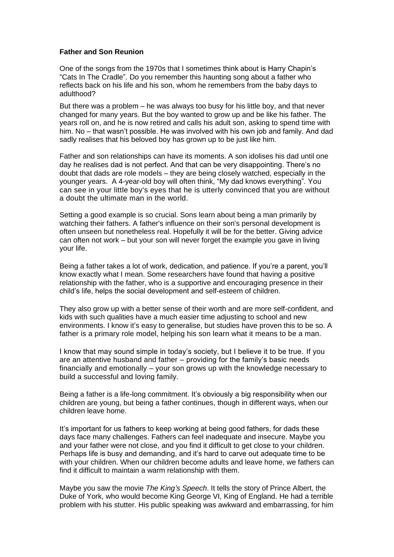## **Father and Son Reunion**

One of the songs from the 1970s that I sometimes think about is Harry Chapin's "Cats In The Cradle"*.* Do you remember this haunting song about a father who reflects back on his life and his son, whom he remembers from the baby days to adulthood?

But there was a problem – he was always too busy for his little boy, and that never changed for many years. But the boy wanted to grow up and be like his father. The years roll on, and he is now retired and calls his adult son, asking to spend time with him. No – that wasn't possible. He was involved with his own job and family. And dad sadly realises that his beloved boy has grown up to be just like him.

Father and son relationships can have its moments. A son idolises his dad until one day he realises dad is not perfect. And that can be very disappointing. There's no doubt that dads are role models – they are being closely watched, especially in the younger years. A 4-year-old boy will often think, "My dad knows everything"*.* You can see in your little boy's eyes that he is utterly convinced that you are without a doubt the ultimate man in the world.

Setting a good example is so crucial. Sons learn about being a man primarily by watching their fathers. A father's influence on their son's personal development is often unseen but nonetheless real. Hopefully it will be for the better. Giving advice can often not work – but your son will never forget the example you gave in living your life.

Being a father takes a lot of work, dedication, and patience. If you're a parent, you'll know exactly what I mean. Some researchers have found that having a positive relationship with the father, who is a supportive and encouraging presence in their child's life, helps the social development and self-esteem of children.

They also grow up with a better sense of their worth and are more self-confident, and kids with such qualities have a much easier time adjusting to school and new environments. I know it's easy to generalise, but studies have proven this to be so. A father is a primary role model, helping his son learn what it means to be a man.

I know that may sound simple in today's society, but I believe it to be true. If you are an attentive husband and father – providing for the family's basic needs financially and emotionally – your son grows up with the knowledge necessary to build a successful and loving family.

Being a father is a life-long commitment. It's obviously a big responsibility when our children are young, but being a father continues, though in different ways, when our children leave home.

It's important for us fathers to keep working at being good fathers, for dads these days face many challenges. Fathers can feel inadequate and insecure. Maybe you and your father were not close, and you find it difficult to get close to your children. Perhaps life is busy and demanding, and it's hard to carve out adequate time to be with your children. When our children become adults and leave home, we fathers can find it difficult to maintain a warm relationship with them.

Maybe you saw the movie *The King's Speech*. It tells the story of Prince Albert, the Duke of York, who would become King George VI, King of England. He had a terrible problem with his stutter. His public speaking was awkward and embarrassing, for him